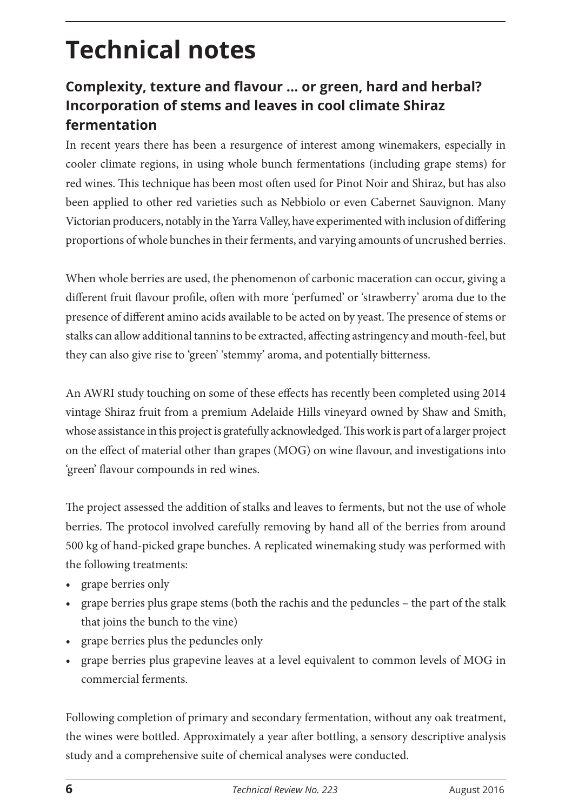## **Technical notes**

## **Complexity, texture and flavour ... or green, hard and herbal? Incorporation of stems and leaves in cool climate Shiraz fermentation**

In recent years there has been a resurgence of interest among winemakers, especially in cooler climate regions, in using whole bunch fermentations (including grape stems) for red wines. This technique has been most often used for Pinot Noir and Shiraz, but has also been applied to other red varieties such as Nebbiolo or even Cabernet Sauvignon. Many Victorian producers, notably in the Yarra Valley, have experimented with inclusion of differing proportions of whole bunches in their ferments, and varying amounts of uncrushed berries.

When whole berries are used, the phenomenon of carbonic maceration can occur, giving a different fruit flavour profile, often with more 'perfumed' or 'strawberry' aroma due to the presence of different amino acids available to be acted on by yeast. The presence of stems or stalks can allow additional tannins to be extracted, affecting astringency and mouth-feel, but they can also give rise to 'green' 'stemmy' aroma, and potentially bitterness.

An AWRI study touching on some of these effects has recently been completed using 2014 vintage Shiraz fruit from a premium Adelaide Hills vineyard owned by Shaw and Smith, whose assistance in this project is gratefully acknowledged. This work is part of a larger project on the effect of material other than grapes (MOG) on wine flavour, and investigations into 'green' flavour compounds in red wines.

The project assessed the addition of stalks and leaves to ferments, but not the use of whole berries. The protocol involved carefully removing by hand all of the berries from around 500 kg of hand-picked grape bunches. A replicated winemaking study was performed with the following treatments:

- grape berries only
- grape berries plus grape stems (both the rachis and the peduncles the part of the stalk that joins the bunch to the vine)
- grape berries plus the peduncles only
- grape berries plus grapevine leaves at a level equivalent to common levels of MOG in commercial ferments.

Following completion of primary and secondary fermentation, without any oak treatment, the wines were bottled. Approximately a year after bottling, a sensory descriptive analysis study and a comprehensive suite of chemical analyses were conducted.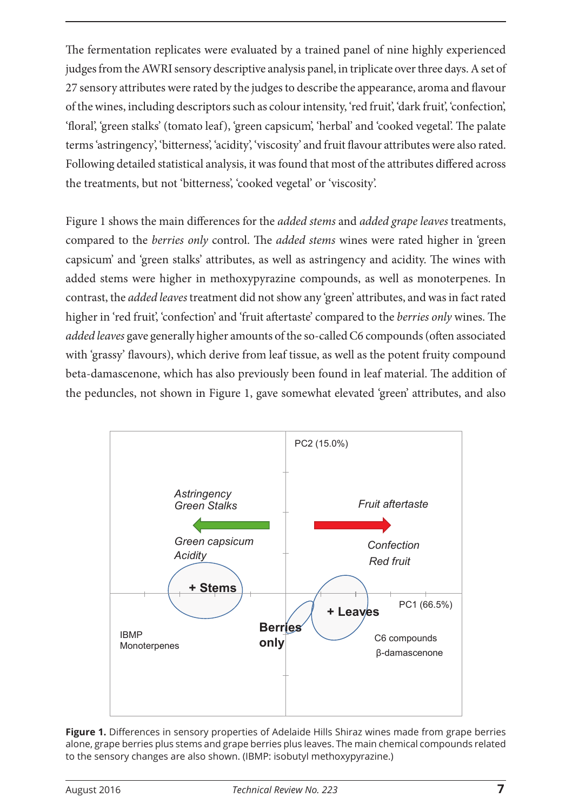The fermentation replicates were evaluated by a trained panel of nine highly experienced judges from the AWRI sensory descriptive analysis panel, in triplicate over three days. A set of 27 sensory attributes were rated by the judges to describe the appearance, aroma and flavour of the wines, including descriptors such as colour intensity, 'red fruit', 'dark fruit', 'confection', 'floral', 'green stalks' (tomato leaf), 'green capsicum', 'herbal' and 'cooked vegetal'. The palate terms 'astringency', 'bitterness', 'acidity', 'viscosity' and fruit flavour attributes were also rated. Following detailed statistical analysis, it was found that most of the attributes differed across the treatments, but not 'bitterness', 'cooked vegetal' or 'viscosity'.

Figure 1 shows the main differences for the *added stems* and *added grape leaves* treatments, compared to the *berries only* control. The *added stems* wines were rated higher in 'green capsicum' and 'green stalks' attributes, as well as astringency and acidity. The wines with added stems were higher in methoxypyrazine compounds, as well as monoterpenes. In contrast, the *added leaves* treatment did not show any 'green' attributes, and was in fact rated higher in 'red fruit', 'confection' and 'fruit aftertaste' compared to the *berries only* wines. The *added leaves* gave generally higher amounts of the so-called C6 compounds (often associated with 'grassy' flavours), which derive from leaf tissue, as well as the potent fruity compound beta-damascenone, which has also previously been found in leaf material. The addition of the peduncles, not shown in Figure 1, gave somewhat elevated 'green' attributes, and also



**Figure 1.** Differences in sensory properties of Adelaide Hills Shiraz wines made from grape berries alone, grape berries plus stems and grape berries plus leaves. The main chemical compounds related to the sensory changes are also shown. (IBMP: isobutyl methoxypyrazine.)